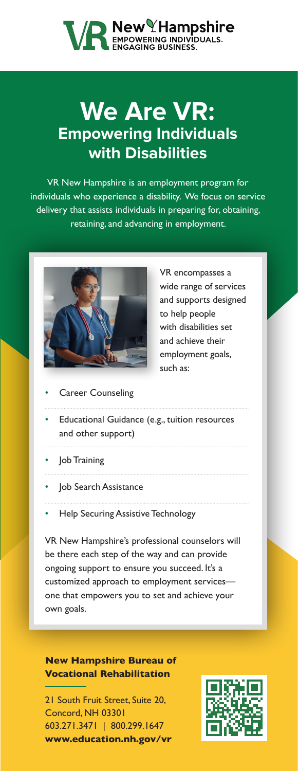# **VA New Hampshire**<br> **MENEAGE AND SUSINESS.**

### **We Are VR: Empowering Individuals with Disabilities**

VR New Hampshire is an employment program for individuals who experience a disability. We focus on service delivery that assists individuals in preparing for, obtaining, retaining, and advancing in employment.



VR encompasses a wide range of services and supports designed to help people with disabilities set and achieve their employment goals, such as:

- **Career Counseling**
- Educational Guidance (e.g., tuition resources and other support)
- Job Training
- Job Search Assistance
- Help Securing Assistive Technology

VR New Hampshire's professional counselors will be there each step of the way and can provide ongoing support to ensure you succeed. It's a customized approach to employment services one that empowers you to set and achieve your own goals.

**New Hampshire Bureau of Vocational Rehabilitation**

21 South Fruit Street, Suite 20, Concord, NH 03301 603.271.3471 | 800.299.1647 **[www.education.nh.gov/vr](http://www.education.nh.gov/vr)**